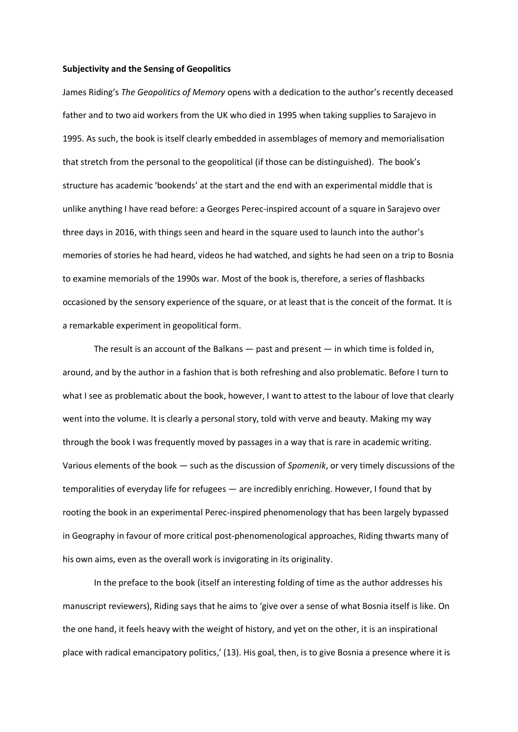## **Subjectivity and the Sensing of Geopolitics**

James Riding's *The Geopolitics of Memory* opens with a dedication to the author's recently deceased father and to two aid workers from the UK who died in 1995 when taking supplies to Sarajevo in 1995. As such, the book is itself clearly embedded in assemblages of memory and memorialisation that stretch from the personal to the geopolitical (if those can be distinguished). The book's structure has academic 'bookends' at the start and the end with an experimental middle that is unlike anything I have read before: a Georges Perec-inspired account of a square in Sarajevo over three days in 2016, with things seen and heard in the square used to launch into the author's memories of stories he had heard, videos he had watched, and sights he had seen on a trip to Bosnia to examine memorials of the 1990s war. Most of the book is, therefore, a series of flashbacks occasioned by the sensory experience of the square, or at least that is the conceit of the format. It is a remarkable experiment in geopolitical form.

The result is an account of the Balkans  $-$  past and present  $-$  in which time is folded in, around, and by the author in a fashion that is both refreshing and also problematic. Before I turn to what I see as problematic about the book, however, I want to attest to the labour of love that clearly went into the volume. It is clearly a personal story, told with verve and beauty. Making my way through the book I was frequently moved by passages in a way that is rare in academic writing. Various elements of the book — such as the discussion of *Spomenik*, or very timely discussions of the temporalities of everyday life for refugees — are incredibly enriching. However, I found that by rooting the book in an experimental Perec-inspired phenomenology that has been largely bypassed in Geography in favour of more critical post-phenomenological approaches, Riding thwarts many of his own aims, even as the overall work is invigorating in its originality.

In the preface to the book (itself an interesting folding of time as the author addresses his manuscript reviewers), Riding says that he aims to 'give over a sense of what Bosnia itself is like. On the one hand, it feels heavy with the weight of history, and yet on the other, it is an inspirational place with radical emancipatory politics,' (13). His goal, then, is to give Bosnia a presence where it is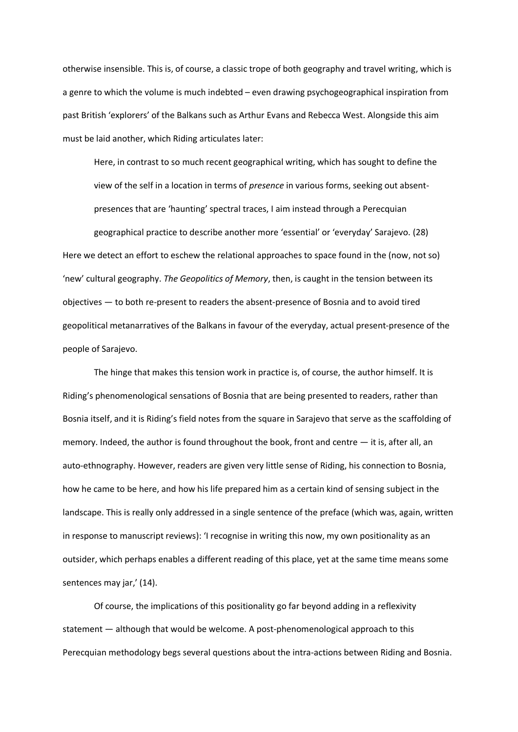otherwise insensible. This is, of course, a classic trope of both geography and travel writing, which is a genre to which the volume is much indebted – even drawing psychogeographical inspiration from past British 'explorers' of the Balkans such as Arthur Evans and Rebecca West. Alongside this aim must be laid another, which Riding articulates later:

Here, in contrast to so much recent geographical writing, which has sought to define the view of the self in a location in terms of *presence* in various forms, seeking out absentpresences that are 'haunting' spectral traces, I aim instead through a Perecquian

geographical practice to describe another more 'essential' or 'everyday' Sarajevo. (28) Here we detect an effort to eschew the relational approaches to space found in the (now, not so) 'new' cultural geography. *The Geopolitics of Memory*, then, is caught in the tension between its objectives — to both re-present to readers the absent-presence of Bosnia and to avoid tired geopolitical metanarratives of the Balkans in favour of the everyday, actual present-presence of the people of Sarajevo.

The hinge that makes this tension work in practice is, of course, the author himself. It is Riding's phenomenological sensations of Bosnia that are being presented to readers, rather than Bosnia itself, and it is Riding's field notes from the square in Sarajevo that serve as the scaffolding of memory. Indeed, the author is found throughout the book, front and centre — it is, after all, an auto-ethnography. However, readers are given very little sense of Riding, his connection to Bosnia, how he came to be here, and how his life prepared him as a certain kind of sensing subject in the landscape. This is really only addressed in a single sentence of the preface (which was, again, written in response to manuscript reviews): 'I recognise in writing this now, my own positionality as an outsider, which perhaps enables a different reading of this place, yet at the same time means some sentences may jar,' (14).

Of course, the implications of this positionality go far beyond adding in a reflexivity statement — although that would be welcome. A post-phenomenological approach to this Perecquian methodology begs several questions about the intra-actions between Riding and Bosnia.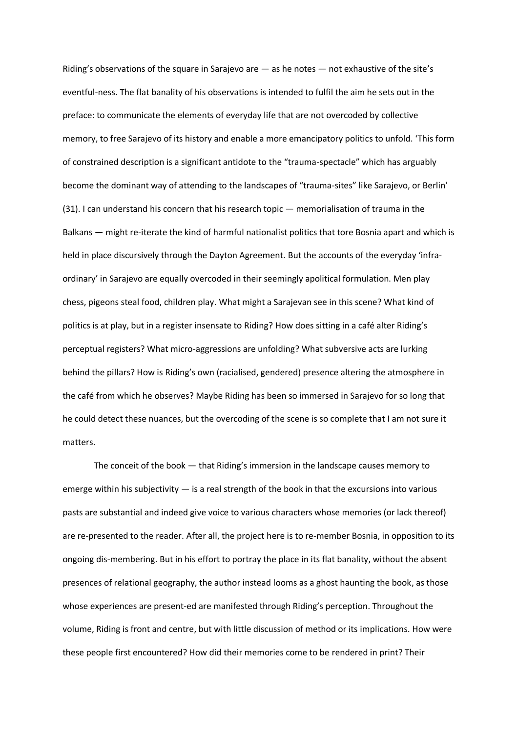Riding's observations of the square in Sarajevo are  $-$  as he notes  $-$  not exhaustive of the site's eventful-ness. The flat banality of his observations is intended to fulfil the aim he sets out in the preface: to communicate the elements of everyday life that are not overcoded by collective memory, to free Sarajevo of its history and enable a more emancipatory politics to unfold. 'This form of constrained description is a significant antidote to the "trauma-spectacle" which has arguably become the dominant way of attending to the landscapes of "trauma-sites" like Sarajevo, or Berlin' (31). I can understand his concern that his research topic — memorialisation of trauma in the Balkans — might re-iterate the kind of harmful nationalist politics that tore Bosnia apart and which is held in place discursively through the Dayton Agreement. But the accounts of the everyday 'infraordinary' in Sarajevo are equally overcoded in their seemingly apolitical formulation. Men play chess, pigeons steal food, children play. What might a Sarajevan see in this scene? What kind of politics is at play, but in a register insensate to Riding? How does sitting in a café alter Riding's perceptual registers? What micro-aggressions are unfolding? What subversive acts are lurking behind the pillars? How is Riding's own (racialised, gendered) presence altering the atmosphere in the café from which he observes? Maybe Riding has been so immersed in Sarajevo for so long that he could detect these nuances, but the overcoding of the scene is so complete that I am not sure it matters.

The conceit of the book — that Riding's immersion in the landscape causes memory to emerge within his subjectivity — is a real strength of the book in that the excursions into various pasts are substantial and indeed give voice to various characters whose memories (or lack thereof) are re-presented to the reader. After all, the project here is to re-member Bosnia, in opposition to its ongoing dis-membering. But in his effort to portray the place in its flat banality, without the absent presences of relational geography, the author instead looms as a ghost haunting the book, as those whose experiences are present-ed are manifested through Riding's perception. Throughout the volume, Riding is front and centre, but with little discussion of method or its implications. How were these people first encountered? How did their memories come to be rendered in print? Their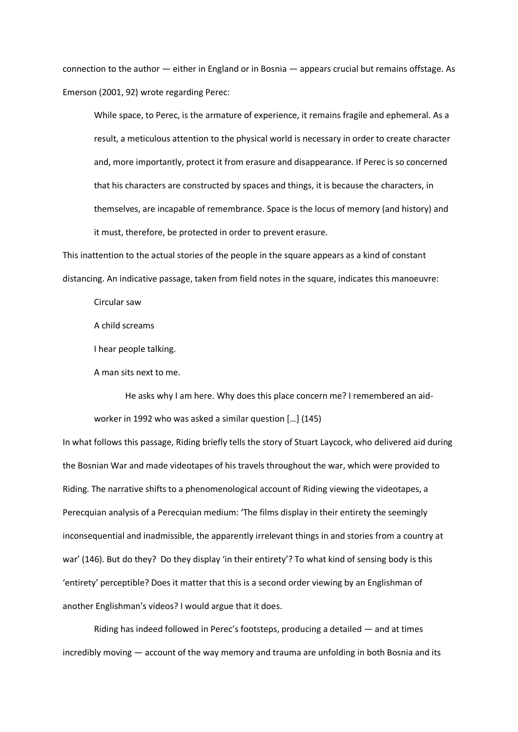connection to the author — either in England or in Bosnia — appears crucial but remains offstage. As Emerson (2001, 92) wrote regarding Perec:

While space, to Perec, is the armature of experience, it remains fragile and ephemeral. As a result, a meticulous attention to the physical world is necessary in order to create character and, more importantly, protect it from erasure and disappearance. If Perec is so concerned that his characters are constructed by spaces and things, it is because the characters, in themselves, are incapable of remembrance. Space is the locus of memory (and history) and it must, therefore, be protected in order to prevent erasure.

This inattention to the actual stories of the people in the square appears as a kind of constant distancing. An indicative passage, taken from field notes in the square, indicates this manoeuvre:

Circular saw

A child screams

I hear people talking.

A man sits next to me.

He asks why I am here. Why does this place concern me? I remembered an aidworker in 1992 who was asked a similar question […] (145)

In what follows this passage, Riding briefly tells the story of Stuart Laycock, who delivered aid during the Bosnian War and made videotapes of his travels throughout the war, which were provided to Riding. The narrative shifts to a phenomenological account of Riding viewing the videotapes, a Perecquian analysis of a Perecquian medium: 'The films display in their entirety the seemingly inconsequential and inadmissible, the apparently irrelevant things in and stories from a country at war' (146). But do they? Do they display 'in their entirety'? To what kind of sensing body is this 'entirety' perceptible? Does it matter that this is a second order viewing by an Englishman of another Englishman's videos? I would argue that it does.

Riding has indeed followed in Perec's footsteps, producing a detailed — and at times incredibly moving — account of the way memory and trauma are unfolding in both Bosnia and its